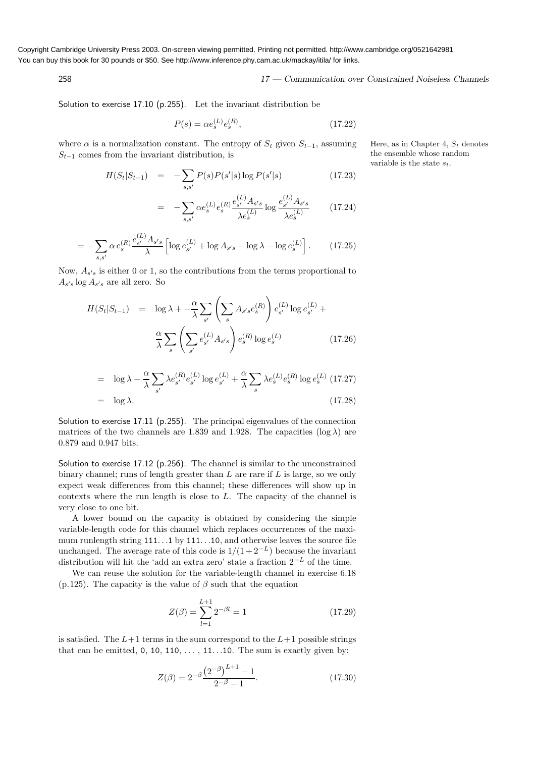Copyright Cambridge University Press 2003. On-screen viewing permitted. Printing not permitted. http://www.cambridge.org/0521642981 You can buy this book for 30 pounds or \$50. See http://www.inference.phy.cam.ac.uk/mackay/itila/ for links.

258 17 — Communication over Constrained Noiseless Channels

Solution to exercise 17.10 (p.255). Let the invariant distribution be

$$
P(s) = \alpha e_s^{(L)} e_s^{(R)},
$$
\n(17.22)

where  $\alpha$  is a normalization constant. The entropy of  $S_t$  given  $S_{t-1}$ , assuming Here, as in Chapter 4,  $S_t$  denotes  $S_{t-1}$  comes from the invariant distribution, is

$$
H(S_t|S_{t-1}) = -\sum_{s,s'} P(s)P(s'|s)\log P(s'|s)
$$
\n(17.23)

$$
= -\sum_{s,s'} \alpha e_s^{(L)} e_s^{(R)} \frac{e_{s'}^{(L)} A_{s's}}{\lambda e_s^{(L)}} \log \frac{e_{s'}^{(L)} A_{s's}}{\lambda e_s^{(L)}} \tag{17.24}
$$

$$
= -\sum_{s,s'} \alpha \, e_s^{(R)} \frac{e_{s'}^{(L)} A_{s's}}{\lambda} \left[ \log e_{s'}^{(L)} + \log A_{s's} - \log \lambda - \log e_s^{(L)} \right]. \tag{17.25}
$$

Now,  $A_{s's}$  is either 0 or 1, so the contributions from the terms proportional to  $A_{s's}$  log  $A_{s's}$  are all zero. So

$$
H(S_t|S_{t-1}) = \log \lambda + -\frac{\alpha}{\lambda} \sum_{s'} \left( \sum_s A_{s's} e_s^{(R)} \right) e_{s'}^{(L)} \log e_{s'}^{(L)} + \frac{\alpha}{\lambda} \sum_s \left( \sum_{s'} e_{s'}^{(L)} A_{s's} \right) e_s^{(R)} \log e_s^{(L)} \tag{17.26}
$$

$$
= \log \lambda - \frac{\alpha}{\lambda} \sum_{s'} \lambda e_{s'}^{(R)} e_{s'}^{(L)} \log e_{s'}^{(L)} + \frac{\alpha}{\lambda} \sum_{s} \lambda e_s^{(L)} e_s^{(R)} \log e_s^{(L)} \tag{17.27}
$$
\n
$$
= \log \lambda. \tag{17.28}
$$

Solution to exercise 17.11 (p.255). The principal eigenvalues of the connection matrices of the two channels are 1.839 and 1.928. The capacities ( $log \lambda$ ) are 0.879 and 0.947 bits.

Solution to exercise 17.12 (p.256). The channel is similar to the unconstrained binary channel; runs of length greater than  $L$  are rare if  $L$  is large, so we only expect weak differences from this channel; these differences will show up in contexts where the run length is close to L. The capacity of the channel is very close to one bit.

A lower bound on the capacity is obtained by considering the simple variable-length code for this channel which replaces occurrences of the maximum runlength string 111. . .1 by 111. . .10, and otherwise leaves the source file unchanged. The average rate of this code is  $1/(1+2^{-L})$  because the invariant distribution will hit the 'add an extra zero' state a fraction  $2^{-L}$  of the time.

We can reuse the solution for the variable-length channel in exercise 6.18 (p.125). The capacity is the value of  $\beta$  such that the equation

$$
Z(\beta) = \sum_{l=1}^{L+1} 2^{-\beta l} = 1
$$
 (17.29)

is satisfied. The  $L+1$  terms in the sum correspond to the  $L+1$  possible strings that can be emitted,  $0, 10, 110, \ldots, 11 \ldots 10$ . The sum is exactly given by:

$$
Z(\beta) = 2^{-\beta} \frac{\left(2^{-\beta}\right)^{L+1} - 1}{2^{-\beta} - 1}.
$$
 (17.30)

the ensemble whose random variable is the state  $s_t$ .